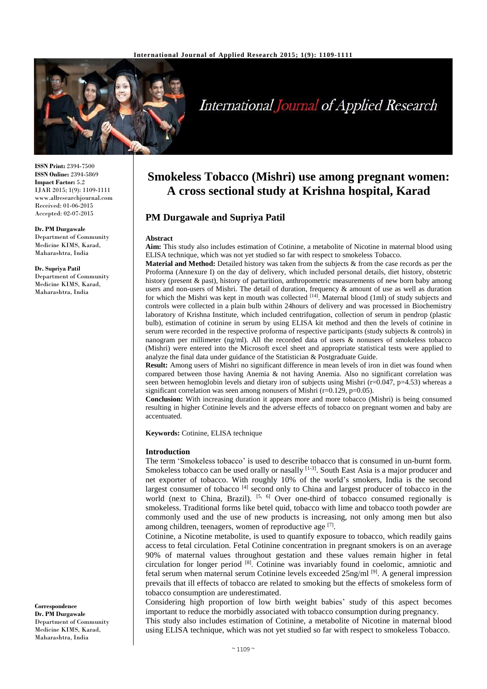

# **International Journal of Applied Research**

**ISSN Print:** 2394-7500 **ISSN Online:** 2394-5869 **Impact Factor:** 5.2 IJAR 2015; 1(9): 1109-1111 www.allresearchjournal.com Received: 01-06-2015 Accepted: 02-07-2015

**Dr. PM Durgawale** Department of Community Medicine KIMS, Karad, Maharashtra, India

**Dr. Supriya Patil** Department of Community Medicine KIMS, Karad, Maharashtra, India

**Correspondence Dr. PM Durgawale** Department of Community Medicine KIMS, Karad, Maharashtra, India

# **Smokeless Tobacco (Mishri) use among pregnant women: A cross sectional study at Krishna hospital, Karad**

# **PM Durgawale and Supriya Patil**

#### **Abstract**

**Aim:** This study also includes estimation of Cotinine, a metabolite of Nicotine in maternal blood using ELISA technique, which was not yet studied so far with respect to smokeless Tobacco.

**Material and Method:** Detailed history was taken from the subjects & from the case records as per the Proforma (Annexure I) on the day of delivery, which included personal details, diet history, obstetric history (present & past), history of parturition, anthropometric measurements of new born baby among users and non-users of Mishri. The detail of duration, frequency & amount of use as well as duration for which the Mishri was kept in mouth was collected  $^{[14]}$ . Maternal blood (1ml) of study subjects and controls were collected in a plain bulb within 24hours of delivery and was processed in Biochemistry laboratory of Krishna Institute, which included centrifugation, collection of serum in pendrop (plastic bulb), estimation of cotinine in serum by using ELISA kit method and then the levels of cotinine in serum were recorded in the respective proforma of respective participants (study subjects & controls) in nanogram per millimeter (ng/ml). All the recorded data of users  $\&$  nonusers of smokeless tobacco (Mishri) were entered into the Microsoft excel sheet and appropriate statistical tests were applied to analyze the final data under guidance of the Statistician & Postgraduate Guide.

**Result:** Among users of Mishri no significant difference in mean levels of iron in diet was found when compared between those having Anemia & not having Anemia. Also no significant correlation was seen between hemoglobin levels and dietary iron of subjects using Mishri ( $r=0.047$ ,  $p=4.53$ ) whereas a significant correlation was seen among nonusers of Mishri ( $r=0.129$ ,  $p=0.05$ ).

**Conclusion:** With increasing duration it appears more and more tobacco (Mishri) is being consumed resulting in higher Cotinine levels and the adverse effects of tobacco on pregnant women and baby are accentuated.

**Keywords:** Cotinine, ELISA technique

#### **Introduction**

The term 'Smokeless tobacco' is used to describe tobacco that is consumed in un-burnt form. Smokeless tobacco can be used orally or nasally  $[1-3]$ . South East Asia is a major producer and net exporter of tobacco. With roughly 10% of the world's smokers, India is the second largest consumer of tobacco<sup>[4]</sup> second only to China and largest producer of tobacco in the world (next to China, Brazil).  $[5, 6]$  Over one-third of tobacco consumed regionally is smokeless. Traditional forms like betel quid, tobacco with lime and tobacco tooth powder are commonly used and the use of new products is increasing, not only among men but also among children, teenagers, women of reproductive age [7].

Cotinine, a Nicotine metabolite, is used to quantify exposure to tobacco, which readily gains access to fetal circulation. Fetal Cotinine concentration in pregnant smokers is on an average 90% of maternal values throughout gestation and these values remain higher in fetal circulation for longer period [8] . Cotinine was invariably found in coelomic, amniotic and fetal serum when maternal serum Cotinine levels exceeded  $25$ ng/ml<sup>[9]</sup>. A general impression prevails that ill effects of tobacco are related to smoking but the effects of smokeless form of tobacco consumption are underestimated.

Considering high proportion of low birth weight babies' study of this aspect becomes important to reduce the morbidly associated with tobacco consumption during pregnancy.

This study also includes estimation of Cotinine, a metabolite of Nicotine in maternal blood using ELISA technique, which was not yet studied so far with respect to smokeless Tobacco.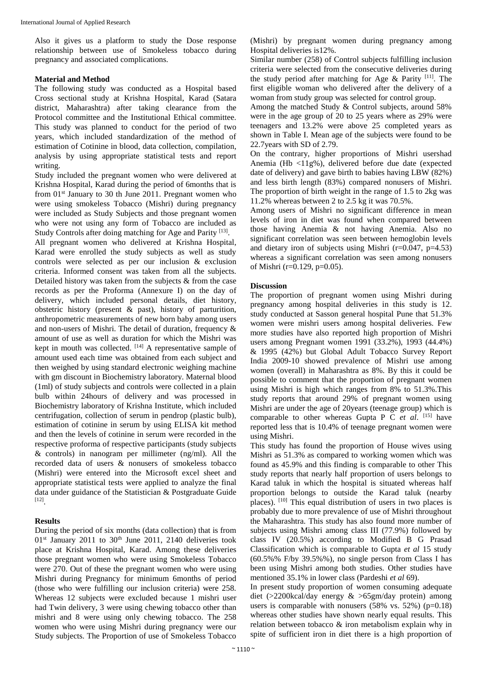Also it gives us a platform to study the Dose response relationship between use of Smokeless tobacco during pregnancy and associated complications.

#### **Material and Method**

The following study was conducted as a Hospital based Cross sectional study at Krishna Hospital, Karad (Satara district, Maharashtra) after taking clearance from the Protocol committee and the Institutional Ethical committee. This study was planned to conduct for the period of two years, which included standardization of the method of estimation of Cotinine in blood, data collection, compilation, analysis by using appropriate statistical tests and report writing.

Study included the pregnant women who were delivered at Krishna Hospital, Karad during the period of 6months that is from  $01<sup>st</sup>$  January to 30 th June 2011. Pregnant women who were using smokeless Tobacco (Mishri) during pregnancy were included as Study Subjects and those pregnant women who were not using any form of Tobacco are included as Study Controls after doing matching for Age and Parity<sup>[13]</sup>.

All pregnant women who delivered at Krishna Hospital, Karad were enrolled the study subjects as well as study controls were selected as per our inclusion & exclusion criteria. Informed consent was taken from all the subjects. Detailed history was taken from the subjects & from the case records as per the Proforma (Annexure I) on the day of delivery, which included personal details, diet history, obstetric history (present & past), history of parturition, anthropometric measurements of new born baby among users and non-users of Mishri. The detail of duration, frequency  $\&$ amount of use as well as duration for which the Mishri was kept in mouth was collected. [14] A representative sample of amount used each time was obtained from each subject and then weighed by using standard electronic weighing machine with gm discount in Biochemistry laboratory. Maternal blood (1ml) of study subjects and controls were collected in a plain bulb within 24hours of delivery and was processed in Biochemistry laboratory of Krishna Institute, which included centrifugation, collection of serum in pendrop (plastic bulb), estimation of cotinine in serum by using ELISA kit method and then the levels of cotinine in serum were recorded in the respective proforma of respective participants (study subjects & controls) in nanogram per millimeter (ng/ml). All the recorded data of users & nonusers of smokeless tobacco (Mishri) were entered into the Microsoft excel sheet and appropriate statistical tests were applied to analyze the final data under guidance of the Statistician & Postgraduate Guide [12] .

#### **Results**

During the period of six months (data collection) that is from  $01<sup>st</sup>$  January 2011 to 30<sup>th</sup> June 2011, 2140 deliveries took place at Krishna Hospital, Karad. Among these deliveries those pregnant women who were using Smokeless Tobacco were 270. Out of these the pregnant women who were using Mishri during Pregnancy for minimum 6months of period (those who were fulfilling our inclusion criteria) were 258. Whereas 12 subjects were excluded because 1 mishri user had Twin delivery, 3 were using chewing tobacco other than mishri and 8 were using only chewing tobacco. The 258 women who were using Mishri during pregnancy were our Study subjects. The Proportion of use of Smokeless Tobacco (Mishri) by pregnant women during pregnancy among Hospital deliveries is12%.

Similar number (258) of Control subjects fulfilling inclusion criteria were selected from the consecutive deliveries during the study period after matching for Age  $\&$  Parity [11]. The first eligible woman who delivered after the delivery of a woman from study group was selected for control group.

Among the matched Study & Control subjects, around 58% were in the age group of 20 to 25 years where as 29% were teenagers and 13.2% were above 25 completed years as shown in Table I. Mean age of the subjects were found to be 22.7years with SD of 2.79.

On the contrary, higher proportions of Mishri usershad Anemia (Hb <11g%), delivered before due date (expected date of delivery) and gave birth to babies having LBW (82%) and less birth length (83%) compared nonusers of Mishri. The proportion of birth weight in the range of 1.5 to 2kg was 11.2% whereas between 2 to 2.5 kg it was 70.5%.

Among users of Mishri no significant difference in mean levels of iron in diet was found when compared between those having Anemia & not having Anemia. Also no significant correlation was seen between hemoglobin levels and dietary iron of subjects using Mishri (r=0.047, p=4.53) whereas a significant correlation was seen among nonusers of Mishri (r=0.129, p=0.05).

# **Discussion**

The proportion of pregnant women using Mishri during pregnancy among hospital deliveries in this study is 12. study conducted at Sasson general hospital Pune that 51.3% women were mishri users among hospital deliveries. Few more studies have also reported high proportion of Mishri users among Pregnant women 1991 (33.2%), 1993 (44.4%) & 1995 (42%) but Global Adult Tobacco Survey Report India 2009-10 showed prevalence of Mishri use among women (overall) in Maharashtra as 8%. By this it could be possible to comment that the proportion of pregnant women using Mishri is high which ranges from 8% to 51.3%.This study reports that around 29% of pregnant women using Mishri are under the age of 20years (teenage group) which is comparable to other whereas Gupta P C *et al*. [15] have reported less that is 10.4% of teenage pregnant women were using Mishri.

This study has found the proportion of House wives using Mishri as 51.3% as compared to working women which was found as 45.9% and this finding is comparable to other This study reports that nearly half proportion of users belongs to Karad taluk in which the hospital is situated whereas half proportion belongs to outside the Karad taluk (nearby places). [10] This equal distribution of users in two places is probably due to more prevalence of use of Mishri throughout the Maharashtra. This study has also found more number of subjects using Mishri among class III (77.9%) followed by class IV (20.5%) according to Modified B G Prasad Classification which is comparable to Gupta *et al* 15 study (60.5%% F/by 39.5%%), no single person from Class I has been using Mishri among both studies. Other studies have mentioned 35.1% in lower class (Pardeshi *et al* 69).

In present study proportion of women consuming adequate diet (>2200kcal/day energy & >65gm/day protein) among users is comparable with nonusers  $(58\% \text{ vs. } 52\%)$  (p=0.18) whereas other studies have shown nearly equal results. This relation between tobacco & iron metabolism explain why in spite of sufficient iron in diet there is a high proportion of